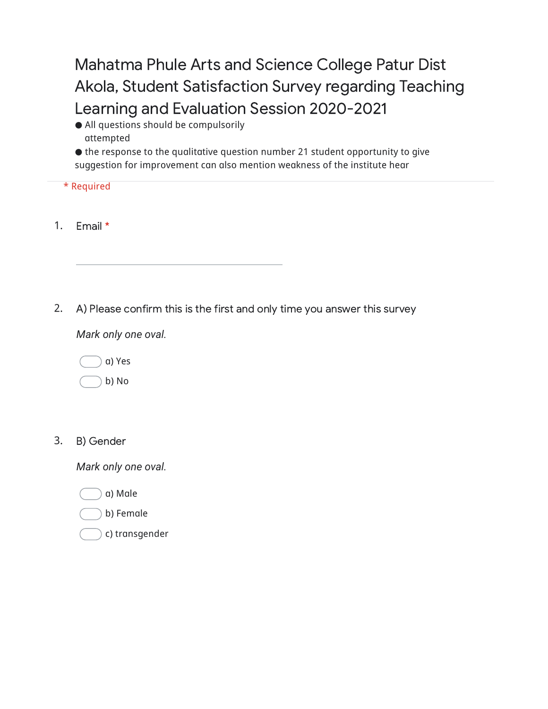Mahatma Phule Arts and Science College Patur Dist Akola, Student Satisfaction Survey regarding Teaching Learning and Evaluation Session 2020-2021

⚫️ All questions should be compulsorily attempted

⚫️ the response to the qualitative question number 21 student opportunity to give suggestion for improvement can also mention weakness of the institute hear

| . . | keduire |
|-----|---------|
|     |         |

1. Email \*

2. A) Please confirm this is the first and only time you answer this survey

*Mark only one oval.*



b) No

3. B) Gender

- a) Male
- b) Female
- c) transgender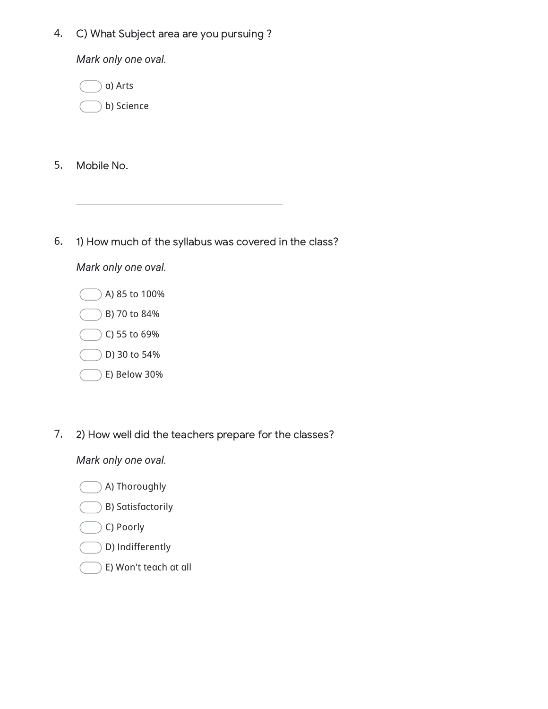4. C) What Subject area are you pursuing ?

*Mark only one oval.*



- 5. Mobile No.
- 6. 1) How much of the syllabus was covered in the class?

## *Mark only one oval.*



7. 2) How well did the teachers prepare for the classes?

- A) Thoroughly
- B) Satisfactorily
- C) Poorly
- D) Indifferently
- E) Won't teach at all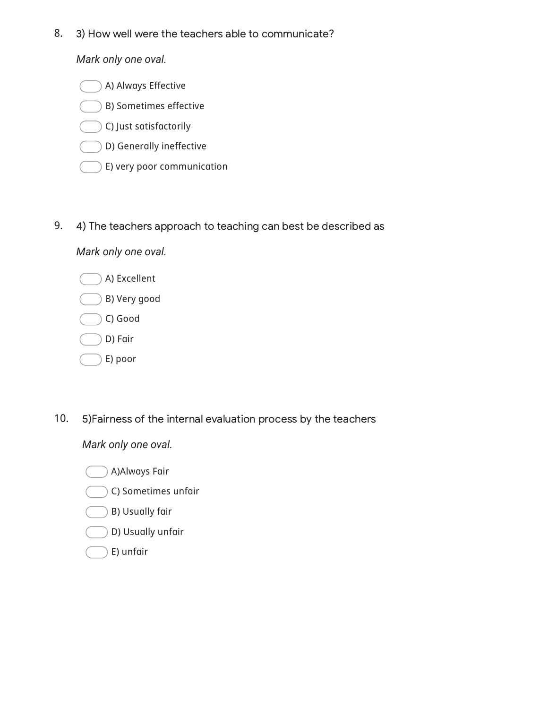8. 3) How well were the teachers able to communicate?

*Mark only one oval.*

A) Always Effective B) Sometimes effective C) Just satisfactorily

- D) Generally ineffective
- E) very poor communication
- 9. 4) The teachers approach to teaching can best be described as

*Mark only one oval.*

- A) Excellent B) Very good C) Good
- D) Fair
- E) poor
- 10. 5)Fairness of the internal evaluation process by the teachers

*Mark only one oval.*

A)Always Fair

- C) Sometimes unfair
- B) Usually fair
- D) Usually unfair
- E) unfair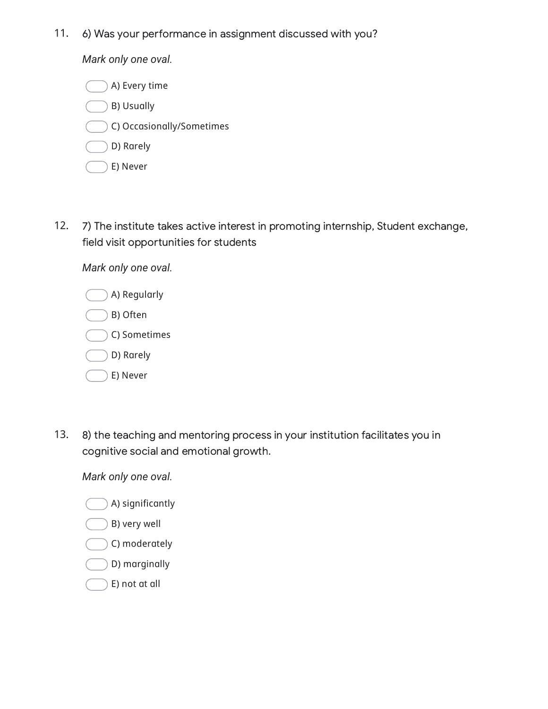11. 6) Was your performance in assignment discussed with you?

*Mark only one oval.*

A) Every time B) Usually C) Occasionally/Sometimes D) Rarely E) Never

12. 7) The institute takes active interest in promoting internship, Student exchange, field visit opportunities for students

*Mark only one oval.*

| A) Regularly |
|--------------|
| B) Often     |
| C) Sometimes |
| D) Rarely    |
| E) Never     |

13. 8) the teaching and mentoring process in your institution facilitates you in cognitive social and emotional growth.

- A) significantly
- B) very well
- C) moderately
- D) marginally
- E) not at all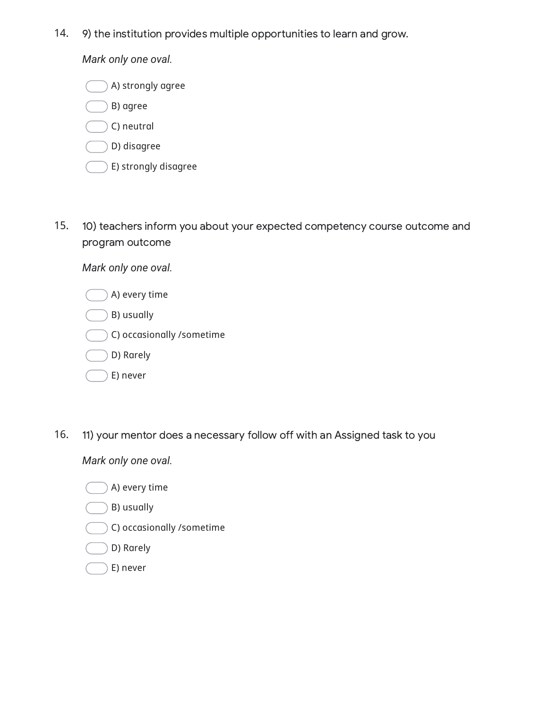14. 9) the institution provides multiple opportunities to learn and grow.

*Mark only one oval.*

A) strongly agree B) agree C) neutral D) disagree E) strongly disagree

15. 10) teachers inform you about your expected competency course outcome and program outcome

*Mark only one oval.*

| A) every time             |
|---------------------------|
| B) usually                |
| C) occasionally /sometime |
| D) Rarely                 |
| E) never                  |

16. 11) your mentor does a necessary follow off with an Assigned task to you

*Mark only one oval.*

- A) every time
- B) usually
- C) occasionally /sometime

D) Rarely

E) never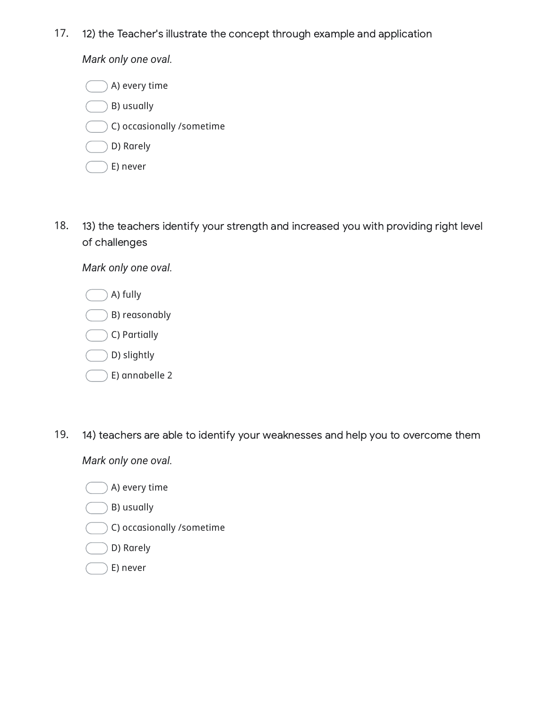17. 12) the Teacher's illustrate the concept through example and application

*Mark only one oval.*

A) every time B) usually C) occasionally /sometime D) Rarely E) never

18. 13) the teachers identify your strength and increased you with providing right level of challenges

*Mark only one oval.*



19. 14) teachers are able to identify your weaknesses and help you to overcome them

- A) every time
- B) usually
- C) occasionally /sometime
- D) Rarely
- E) never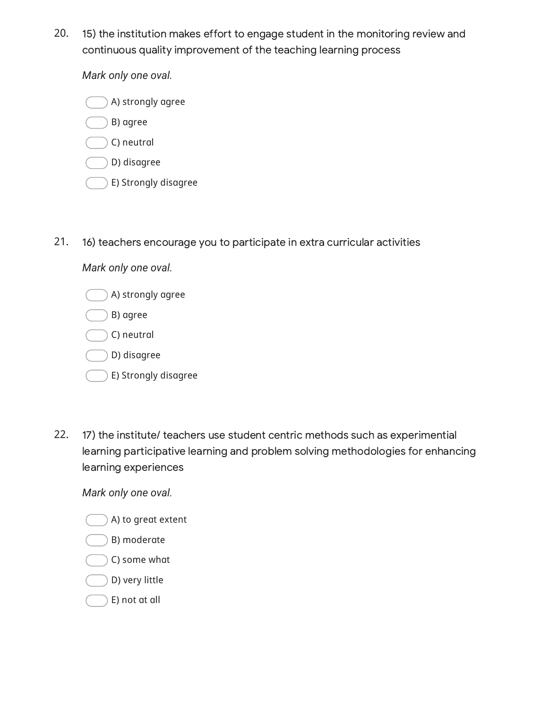20. 15) the institution makes effort to engage student in the monitoring review and continuous quality improvement of the teaching learning process

*Mark only one oval.*



- C) neutral
- D) disagree
- E) Strongly disagree
- 21. 16) teachers encourage you to participate in extra curricular activities

## A) strongly agree B) agree C) neutral D) disagree E) Strongly disagree

*Mark only one oval.*

22. 17) the institute/ teachers use student centric methods such as experimential learning participative learning and problem solving methodologies for enhancing learning experiences

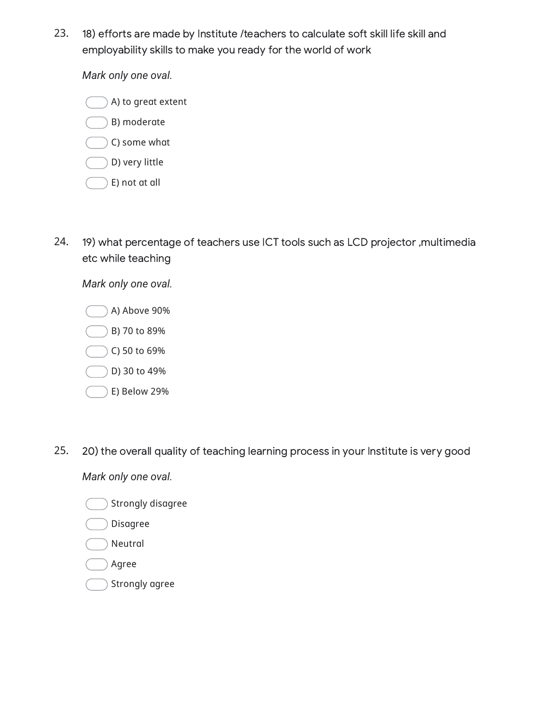23. 18) efforts are made by Institute /teachers to calculate soft skill life skill and employability skills to make you ready for the world of work

*Mark only one oval.*

A) to great extent B) moderate

- C) some what
- D) very little
- E) not at all
- 24. 19) what percentage of teachers use ICT tools such as LCD projector ,multimedia etc while teaching

*Mark only one oval.*

- A) Above 90% B) 70 to 89% C) 50 to 69% D) 30 to 49%
- E) Below 29%
- 25. 20) the overall quality of teaching learning process in your Institute is very good

*Mark only one oval.*

Strongly disagree

## Disagree

- Neutral
- Agree
- Strongly agree